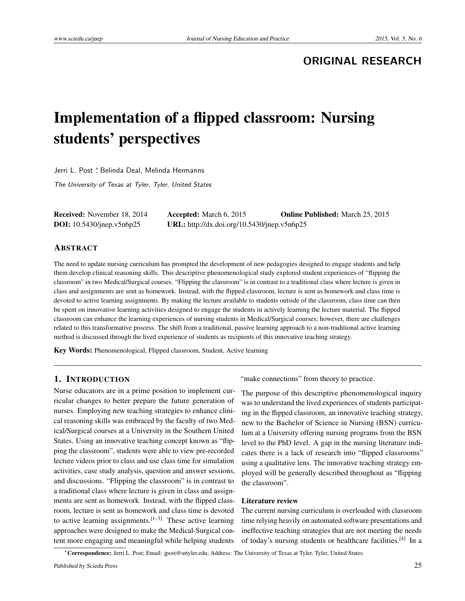# **ORIGINAL RESEARCH**

# Implementation of a flipped classroom: Nursing students' perspectives

Jerri L. Post <sup>\*</sup>, Belinda Deal, Melinda Hermanns

The University of Texas at Tyler, Tyler, United States

Received: November 18, 2014 Accepted: March 6, 2015 Online Published: March 25, 2015 DOI: 10.5430/jnep.v5n6p25 URL: http://dx.doi.org/10.5430/jnep.v5n6p25

# ABSTRACT

The need to update nursing curriculum has prompted the development of new pedagogies designed to engage students and help them develop clinical reasoning skills. This descriptive phenomenological study explored student experiences of "flipping the classroom" in two Medical/Surgical courses. "Flipping the classroom" is in contrast to a traditional class where lecture is given in class and assignments are sent as homework. Instead, with the flipped classroom, lecture is sent as homework and class time is devoted to active learning assignments. By making the lecture available to students outside of the classroom, class time can then be spent on innovative learning activities designed to engage the students in actively learning the lecture material. The flipped classroom can enhance the learning experiences of nursing students in Medical/Surgical courses; however, there are challenges related to this transformative process. The shift from a traditional, passive learning approach to a non-traditional active learning method is discussed through the lived experience of students as recipients of this innovative teaching strategy.

Key Words: Phenomenological, Flipped classroom, Student, Active learning

# 1. INTRODUCTION

Nurse educators are in a prime position to implement curricular changes to better prepare the future generation of nurses. Employing new teaching strategies to enhance clinical reasoning skills was embraced by the faculty of two Medical/Surgical courses at a University in the Southern United States. Using an innovative teaching concept known as "flipping the classroom", students were able to view pre-recorded lecture videos prior to class and use class time for simulation activities, case study analysis, question and answer sessions, and discussions. "Flipping the classroom" is in contrast to a traditional class where lecture is given in class and assignments are sent as homework. Instead, with the flipped classroom, lecture is sent as homework and class time is devoted to active learning assignments.<sup>[\[1](#page-5-0)[–3\]](#page-5-1)</sup> These active learning approaches were designed to make the Medical-Surgical content more engaging and meaningful while helping students

"make connections" from theory to practice.

The purpose of this descriptive phenomenological inquiry was to understand the lived experiences of students participating in the flipped classroom, an innovative teaching strategy, new to the Bachelor of Science in Nursing (BSN) curriculum at a University offering nursing programs from the BSN level to the PhD level. A gap in the nursing literature indicates there is a lack of research into "flipped classrooms" using a qualitative lens. The innovative teaching strategy employed will be generally described throughout as "flipping the classroom".

#### Literature review

The current nursing curriculum is overloaded with classroom time relying heavily on automated software presentations and ineffective teaching strategies that are not meeting the needs of today's nursing students or healthcare facilities.<sup>[\[4\]](#page-5-2)</sup> In a

<sup>∗</sup>Correspondence: Jerri L. Post; Email: jpost@uttyler.edu; Address: The University of Texas at Tyler, Tyler, United States.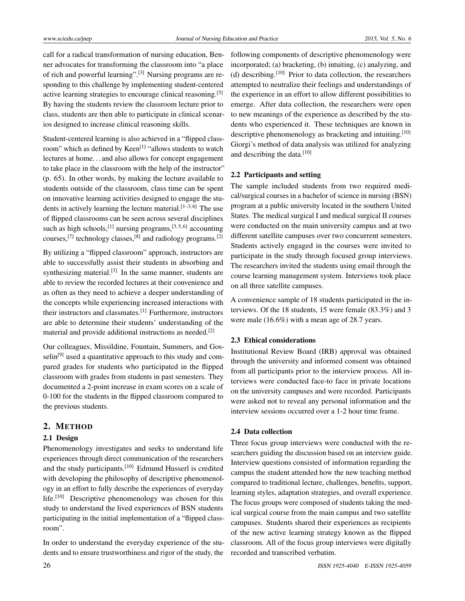call for a radical transformation of nursing education, Benner advocates for transforming the classroom into "a place of rich and powerful learning".[\[3\]](#page-5-1) Nursing programs are responding to this challenge by implementing student-centered active learning strategies to encourage clinical reasoning.<sup>[\[5\]](#page-5-3)</sup> By having the students review the classroom lecture prior to class, students are then able to participate in clinical scenarios designed to increase clinical reasoning skills.

Student-centered learning is also achieved in a "flipped class-room" which as defined by Keen<sup>[\[1\]](#page-5-0)</sup> "allows students to watch lectures at home. . . and also allows for concept engagement to take place in the classroom with the help of the instructor" (p. 65). In other words, by making the lecture available to students outside of the classroom, class time can be spent on innovative learning activities designed to engage the students in actively learning the lecture material.  $[1-3, 6]$  $[1-3, 6]$  $[1-3, 6]$  The use of flipped classrooms can be seen across several disciplines such as high schools,<sup>[\[1\]](#page-5-0)</sup> nursing programs,<sup>[\[3,](#page-5-1)[5,](#page-5-3)[6\]](#page-5-4)</sup> accounting courses,<sup>[\[7\]](#page-5-5)</sup> technology classes,<sup>[\[8\]](#page-5-6)</sup> and radiology programs.<sup>[\[2\]](#page-5-7)</sup>

By utilizing a "flipped classroom" approach, instructors are able to successfully assist their students in absorbing and synthesizing material.<sup>[\[3\]](#page-5-1)</sup> In the same manner, students are able to review the recorded lectures at their convenience and as often as they need to achieve a deeper understanding of the concepts while experiencing increased interactions with their instructors and classmates.[\[1\]](#page-5-0) Furthermore, instructors are able to determine their students' understanding of the material and provide additional instructions as needed.<sup>[\[2\]](#page-5-7)</sup>

Our colleagues, Missildine, Fountain, Summers, and Gos-selin<sup>[\[9\]](#page-5-8)</sup> used a quantitative approach to this study and compared grades for students who participated in the flipped classroom with grades from students in past semesters. They documented a 2-point increase in exam scores on a scale of 0-100 for the students in the flipped classroom compared to the previous students.

# 2. METHOD

# 2.1 Design

Phenomenology investigates and seeks to understand life experiences through direct communication of the researchers and the study participants.<sup>[\[10\]](#page-5-9)</sup> Edmund Husserl is credited with developing the philosophy of descriptive phenomenology in an effort to fully describe the experiences of everyday life.<sup>[\[10\]](#page-5-9)</sup> Descriptive phenomenology was chosen for this study to understand the lived experiences of BSN students participating in the initial implementation of a "flipped classroom".

In order to understand the everyday experience of the students and to ensure trustworthiness and rigor of the study, the

following components of descriptive phenomenology were incorporated; (a) bracketing, (b) intuiting, (c) analyzing, and (d) describing.<sup>[\[10\]](#page-5-9)</sup> Prior to data collection, the researchers attempted to neutralize their feelings and understandings of the experience in an effort to allow different possibilities to emerge. After data collection, the researchers were open to new meanings of the experience as described by the students who experienced it. These techniques are known in descriptive phenomenology as bracketing and intuiting.<sup>[\[10\]](#page-5-9)</sup> Giorgi's method of data analysis was utilized for analyzing and describing the data. $[10]$ 

# 2.2 Participants and setting

The sample included students from two required medical/surgical courses in a bachelor of science in nursing (BSN) program at a public university located in the southern United States. The medical surgical I and medical surgical II courses were conducted on the main university campus and at two different satellite campuses over two concurrent semesters. Students actively engaged in the courses were invited to participate in the study through focused group interviews. The researchers invited the students using email through the course learning management system. Interviews took place on all three satellite campuses.

A convenience sample of 18 students participated in the interviews. Of the 18 students, 15 were female (83.3%) and 3 were male (16.6%) with a mean age of 28.7 years.

#### 2.3 Ethical considerations

Institutional Review Board (IRB) approval was obtained through the university and informed consent was obtained from all participants prior to the interview process. All interviews were conducted face-to face in private locations on the university campuses and were recorded. Participants were asked not to reveal any personal information and the interview sessions occurred over a 1-2 hour time frame.

#### 2.4 Data collection

Three focus group interviews were conducted with the researchers guiding the discussion based on an interview guide. Interview questions consisted of information regarding the campus the student attended how the new teaching method compared to traditional lecture, challenges, benefits, support, learning styles, adaptation strategies, and overall experience. The focus groups were composed of students taking the medical surgical course from the main campus and two satellite campuses. Students shared their experiences as recipients of the new active learning strategy known as the flipped classroom. All of the focus group interviews were digitally recorded and transcribed verbatim.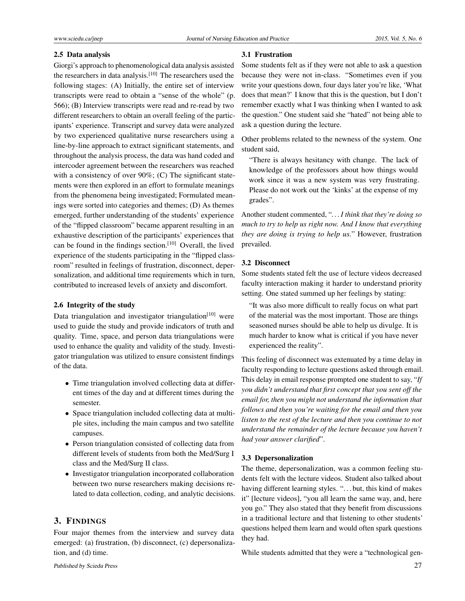#### 2.5 Data analysis

Giorgi's approach to phenomenological data analysis assisted the researchers in data analysis.<sup>[\[10\]](#page-5-9)</sup> The researchers used the following stages: (A) Initially, the entire set of interview transcripts were read to obtain a "sense of the whole" (p. 566); (B) Interview transcripts were read and re-read by two different researchers to obtain an overall feeling of the participants' experience. Transcript and survey data were analyzed by two experienced qualitative nurse researchers using a line-by-line approach to extract significant statements, and throughout the analysis process, the data was hand coded and intercoder agreement between the researchers was reached with a consistency of over 90%; (C) The significant statements were then explored in an effort to formulate meanings from the phenomena being investigated; Formulated meanings were sorted into categories and themes; (D) As themes emerged, further understanding of the students' experience of the "flipped classroom" became apparent resulting in an exhaustive description of the participants' experiences that can be found in the findings section.<sup>[\[10\]](#page-5-9)</sup> Overall, the lived experience of the students participating in the "flipped classroom" resulted in feelings of frustration, disconnect, depersonalization, and additional time requirements which in turn, contributed to increased levels of anxiety and discomfort.

#### 2.6 Integrity of the study

Data triangulation and investigator triangulation<sup>[\[10\]](#page-5-9)</sup> were used to guide the study and provide indicators of truth and quality. Time, space, and person data triangulations were used to enhance the quality and validity of the study. Investigator triangulation was utilized to ensure consistent findings of the data.

- Time triangulation involved collecting data at different times of the day and at different times during the semester.
- Space triangulation included collecting data at multiple sites, including the main campus and two satellite campuses.
- Person triangulation consisted of collecting data from different levels of students from both the Med/Surg I class and the Med/Surg II class.
- Investigator triangulation incorporated collaboration between two nurse researchers making decisions related to data collection, coding, and analytic decisions.

# 3. FINDINGS

Four major themes from the interview and survey data emerged: (a) frustration, (b) disconnect, (c) depersonalization, and (d) time.

#### 3.1 Frustration

Some students felt as if they were not able to ask a question because they were not in-class. "Sometimes even if you write your questions down, four days later you're like, 'What does that mean?' I know that this is the question, but I don't remember exactly what I was thinking when I wanted to ask the question." One student said she "hated" not being able to ask a question during the lecture.

Other problems related to the newness of the system. One student said,

"There is always hesitancy with change. The lack of knowledge of the professors about how things would work since it was a new system was very frustrating. Please do not work out the 'kinks' at the expense of my grades".

Another student commented, "*. . . I think that they're doing so much to try to help us right now. And I know that everything they are doing is trying to help us.*" However, frustration prevailed.

# 3.2 Disconnect

Some students stated felt the use of lecture videos decreased faculty interaction making it harder to understand priority setting. One stated summed up her feelings by stating:

"It was also more difficult to really focus on what part of the material was the most important. Those are things seasoned nurses should be able to help us divulge. It is much harder to know what is critical if you have never experienced the reality".

This feeling of disconnect was extenuated by a time delay in faculty responding to lecture questions asked through email. This delay in email response prompted one student to say, "*If you didn't understand that first concept that you sent off the email for, then you might not understand the information that follows and then you're waiting for the email and then you listen to the rest of the lecture and then you continue to not understand the remainder of the lecture because you haven't had your answer clarified*".

#### 3.3 Depersonalization

The theme, depersonalization, was a common feeling students felt with the lecture videos. Student also talked about having different learning styles. "... but, this kind of makes it" [lecture videos], "you all learn the same way, and, here you go." They also stated that they benefit from discussions in a traditional lecture and that listening to other students' questions helped them learn and would often spark questions they had.

While students admitted that they were a "technological gen-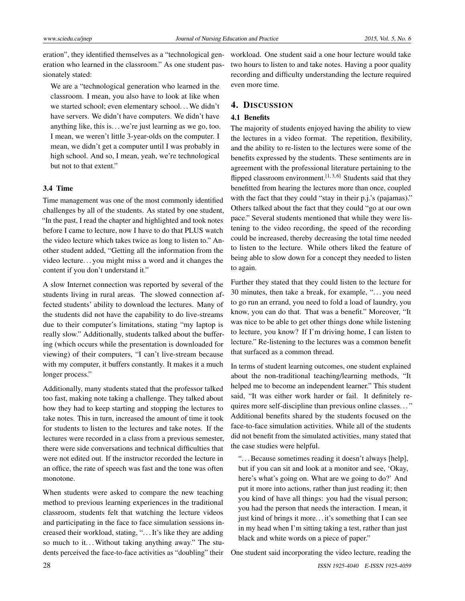eration", they identified themselves as a "technological generation who learned in the classroom." As one student passionately stated:

We are a "technological generation who learned in the classroom. I mean, you also have to look at like when we started school; even elementary school. . .We didn't have servers. We didn't have computers. We didn't have anything like, this is. . . we're just learning as we go, too. I mean, we weren't little 3-year-olds on the computer. I mean, we didn't get a computer until I was probably in high school. And so, I mean, yeah, we're technological but not to that extent."

# 3.4 Time

Time management was one of the most commonly identified challenges by all of the students. As stated by one student, "In the past, I read the chapter and highlighted and took notes before I came to lecture, now I have to do that PLUS watch the video lecture which takes twice as long to listen to." Another student added, "Getting all the information from the video lecture. . . you might miss a word and it changes the content if you don't understand it."

A slow Internet connection was reported by several of the students living in rural areas. The slowed connection affected students' ability to download the lectures. Many of the students did not have the capability to do live-streams due to their computer's limitations, stating "my laptop is really slow." Additionally, students talked about the buffering (which occurs while the presentation is downloaded for viewing) of their computers, "I can't live-stream because with my computer, it buffers constantly. It makes it a much longer process."

Additionally, many students stated that the professor talked too fast, making note taking a challenge. They talked about how they had to keep starting and stopping the lectures to take notes. This in turn, increased the amount of time it took for students to listen to the lectures and take notes. If the lectures were recorded in a class from a previous semester, there were side conversations and technical difficulties that were not edited out. If the instructor recorded the lecture in an office, the rate of speech was fast and the tone was often monotone.

When students were asked to compare the new teaching method to previous learning experiences in the traditional classroom, students felt that watching the lecture videos and participating in the face to face simulation sessions increased their workload, stating, ". . . It's like they are adding so much to it... Without taking anything away." The students perceived the face-to-face activities as "doubling" their workload. One student said a one hour lecture would take two hours to listen to and take notes. Having a poor quality recording and difficulty understanding the lecture required even more time.

# 4. DISCUSSION

#### 4.1 Benefits

The majority of students enjoyed having the ability to view the lectures in a video format. The repetition, flexibility, and the ability to re-listen to the lectures were some of the benefits expressed by the students. These sentiments are in agreement with the professional literature pertaining to the flipped classroom environment.<sup>[\[1,](#page-5-0) [3,](#page-5-1) [6\]](#page-5-4)</sup> Students said that they benefitted from hearing the lectures more than once, coupled with the fact that they could "stay in their p.j.'s (pajamas)." Others talked about the fact that they could "go at our own pace." Several students mentioned that while they were listening to the video recording, the speed of the recording could be increased, thereby decreasing the total time needed to listen to the lecture. While others liked the feature of being able to slow down for a concept they needed to listen to again.

Further they stated that they could listen to the lecture for 30 minutes, then take a break, for example, ". . . you need to go run an errand, you need to fold a load of laundry, you know, you can do that. That was a benefit." Moreover, "It was nice to be able to get other things done while listening to lecture, you know? If I'm driving home, I can listen to lecture." Re-listening to the lectures was a common benefit that surfaced as a common thread.

In terms of student learning outcomes, one student explained about the non-traditional teaching/learning methods, "It helped me to become an independent learner." This student said, "It was either work harder or fail. It definitely requires more self-discipline than previous online classes. . . " Additional benefits shared by the students focused on the face-to-face simulation activities. While all of the students did not benefit from the simulated activities, many stated that the case studies were helpful.

". . . Because sometimes reading it doesn't always [help], but if you can sit and look at a monitor and see, 'Okay, here's what's going on. What are we going to do?' And put it more into actions, rather than just reading it; then you kind of have all things: you had the visual person; you had the person that needs the interaction. I mean, it just kind of brings it more. . . it's something that I can see in my head when I'm sitting taking a test, rather than just black and white words on a piece of paper."

One student said incorporating the video lecture, reading the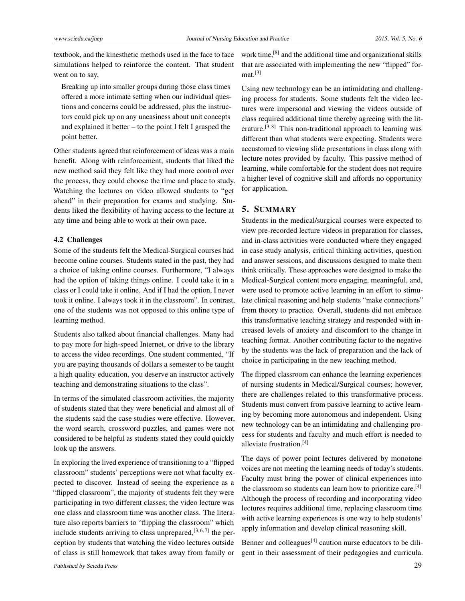textbook, and the kinesthetic methods used in the face to face simulations helped to reinforce the content. That student went on to say,

Breaking up into smaller groups during those class times offered a more intimate setting when our individual questions and concerns could be addressed, plus the instructors could pick up on any uneasiness about unit concepts and explained it better – to the point I felt I grasped the point better.

Other students agreed that reinforcement of ideas was a main benefit. Along with reinforcement, students that liked the new method said they felt like they had more control over the process, they could choose the time and place to study. Watching the lectures on video allowed students to "get ahead" in their preparation for exams and studying. Students liked the flexibility of having access to the lecture at any time and being able to work at their own pace.

#### 4.2 Challenges

Some of the students felt the Medical-Surgical courses had become online courses. Students stated in the past, they had a choice of taking online courses. Furthermore, "I always had the option of taking things online. I could take it in a class or I could take it online. And if I had the option, I never took it online. I always took it in the classroom". In contrast, one of the students was not opposed to this online type of learning method.

Students also talked about financial challenges. Many had to pay more for high-speed Internet, or drive to the library to access the video recordings. One student commented, "If you are paying thousands of dollars a semester to be taught a high quality education, you deserve an instructor actively teaching and demonstrating situations to the class".

In terms of the simulated classroom activities, the majority of students stated that they were beneficial and almost all of the students said the case studies were effective. However, the word search, crossword puzzles, and games were not considered to be helpful as students stated they could quickly look up the answers.

In exploring the lived experience of transitioning to a "flipped classroom" students' perceptions were not what faculty expected to discover. Instead of seeing the experience as a "flipped classroom", the majority of students felt they were participating in two different classes; the video lecture was one class and classroom time was another class. The literature also reports barriers to "flipping the classroom" which include students arriving to class unprepared,  $[3, 6, 7]$  $[3, 6, 7]$  $[3, 6, 7]$  $[3, 6, 7]$  $[3, 6, 7]$  the perception by students that watching the video lectures outside of class is still homework that takes away from family or

work time,<sup>[\[8\]](#page-5-6)</sup> and the additional time and organizational skills that are associated with implementing the new "flipped" for- $mat<sup>[3]</sup>$  $mat<sup>[3]</sup>$  $mat<sup>[3]</sup>$ 

Using new technology can be an intimidating and challenging process for students. Some students felt the video lectures were impersonal and viewing the videos outside of class required additional time thereby agreeing with the lit-erature.<sup>[\[3,](#page-5-1)[8\]](#page-5-6)</sup> This non-traditional approach to learning was different than what students were expecting. Students were accustomed to viewing slide presentations in class along with lecture notes provided by faculty. This passive method of learning, while comfortable for the student does not require a higher level of cognitive skill and affords no opportunity for application.

# 5. SUMMARY

Students in the medical/surgical courses were expected to view pre-recorded lecture videos in preparation for classes, and in-class activities were conducted where they engaged in case study analysis, critical thinking activities, question and answer sessions, and discussions designed to make them think critically. These approaches were designed to make the Medical-Surgical content more engaging, meaningful, and, were used to promote active learning in an effort to stimulate clinical reasoning and help students "make connections" from theory to practice. Overall, students did not embrace this transformative teaching strategy and responded with increased levels of anxiety and discomfort to the change in teaching format. Another contributing factor to the negative by the students was the lack of preparation and the lack of choice in participating in the new teaching method.

The flipped classroom can enhance the learning experiences of nursing students in Medical/Surgical courses; however, there are challenges related to this transformative process. Students must convert from passive learning to active learning by becoming more autonomous and independent. Using new technology can be an intimidating and challenging process for students and faculty and much effort is needed to alleviate frustration.[\[4\]](#page-5-2)

The days of power point lectures delivered by monotone voices are not meeting the learning needs of today's students. Faculty must bring the power of clinical experiences into the classroom so students can learn how to prioritize care.<sup>[\[4\]](#page-5-2)</sup> Although the process of recording and incorporating video lectures requires additional time, replacing classroom time with active learning experiences is one way to help students' apply information and develop clinical reasoning skill.

Benner and colleagues<sup>[\[4\]](#page-5-2)</sup> caution nurse educators to be diligent in their assessment of their pedagogies and curricula.